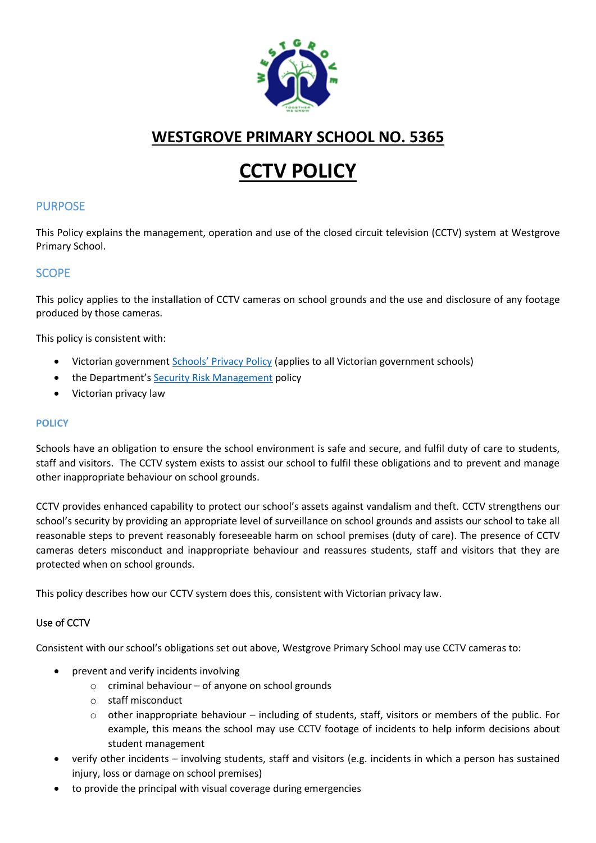

# **WESTGROVE PRIMARY SCHOOL NO. 5365**

# **CCTV POLICY**

# PURPOSE

This Policy explains the management, operation and use of the closed circuit television (CCTV) system at Westgrove Primary School.

# SCOPE

This policy applies to the installation of CCTV cameras on school grounds and the use and disclosure of any footage produced by those cameras.

This policy is consistent with:

- Victorian government [Schools' Privacy Policy](https://www.education.vic.gov.au/Pages/schoolsprivacypolicy.aspx) (applies to all Victorian government schools)
- the Department's **[Security Risk Management](https://www.education.vic.gov.au/school/principals/spag/management/pages/security.aspx)** policy
- Victorian privacy law

#### **POLICY**

Schools have an obligation to ensure the school environment is safe and secure, and fulfil duty of care to students, staff and visitors. The CCTV system exists to assist our school to fulfil these obligations and to prevent and manage other inappropriate behaviour on school grounds.

CCTV provides enhanced capability to protect our school's assets against vandalism and theft. CCTV strengthens our school's security by providing an appropriate level of surveillance on school grounds and assists our school to take all reasonable steps to prevent reasonably foreseeable harm on school premises (duty of care). The presence of CCTV cameras deters misconduct and inappropriate behaviour and reassures students, staff and visitors that they are protected when on school grounds.

This policy describes how our CCTV system does this, consistent with Victorian privacy law.

#### Use of CCTV

Consistent with our school's obligations set out above, Westgrove Primary School may use CCTV cameras to:

- prevent and verify incidents involving
	- $\circ$  criminal behaviour of anyone on school grounds
	- o staff misconduct
	- $\circ$  other inappropriate behaviour including of students, staff, visitors or members of the public. For example, this means the school may use CCTV footage of incidents to help inform decisions about student management
- verify other incidents involving students, staff and visitors (e.g. incidents in which a person has sustained injury, loss or damage on school premises)
- to provide the principal with visual coverage during emergencies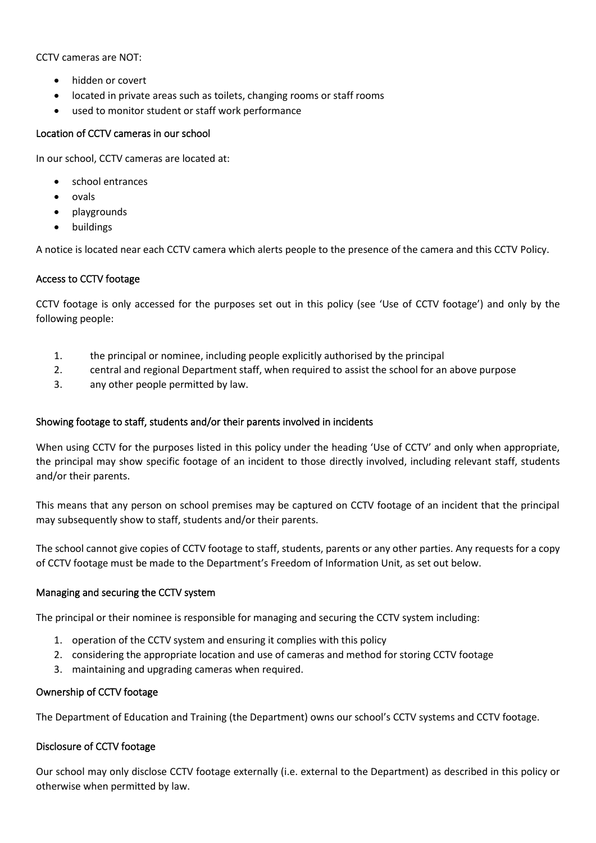CCTV cameras are NOT:

- hidden or covert
- located in private areas such as toilets, changing rooms or staff rooms
- used to monitor student or staff work performance

#### Location of CCTV cameras in our school

In our school, CCTV cameras are located at:

- school entrances
- ovals
- playgrounds
- buildings

A notice is located near each CCTV camera which alerts people to the presence of the camera and this CCTV Policy.

#### Access to CCTV footage

CCTV footage is only accessed for the purposes set out in this policy (see 'Use of CCTV footage') and only by the following people:

- 1. the principal or nominee, including people explicitly authorised by the principal
- 2. central and regional Department staff, when required to assist the school for an above purpose
- 3. any other people permitted by law.

#### Showing footage to staff, students and/or their parents involved in incidents

When using CCTV for the purposes listed in this policy under the heading 'Use of CCTV' and only when appropriate, the principal may show specific footage of an incident to those directly involved, including relevant staff, students and/or their parents.

This means that any person on school premises may be captured on CCTV footage of an incident that the principal may subsequently show to staff, students and/or their parents.

The school cannot give copies of CCTV footage to staff, students, parents or any other parties. Any requests for a copy of CCTV footage must be made to the Department's Freedom of Information Unit, as set out below.

#### Managing and securing the CCTV system

The principal or their nominee is responsible for managing and securing the CCTV system including:

- 1. operation of the CCTV system and ensuring it complies with this policy
- 2. considering the appropriate location and use of cameras and method for storing CCTV footage
- 3. maintaining and upgrading cameras when required.

#### Ownership of CCTV footage

The Department of Education and Training (the Department) owns our school's CCTV systems and CCTV footage.

#### Disclosure of CCTV footage

Our school may only disclose CCTV footage externally (i.e. external to the Department) as described in this policy or otherwise when permitted by law.